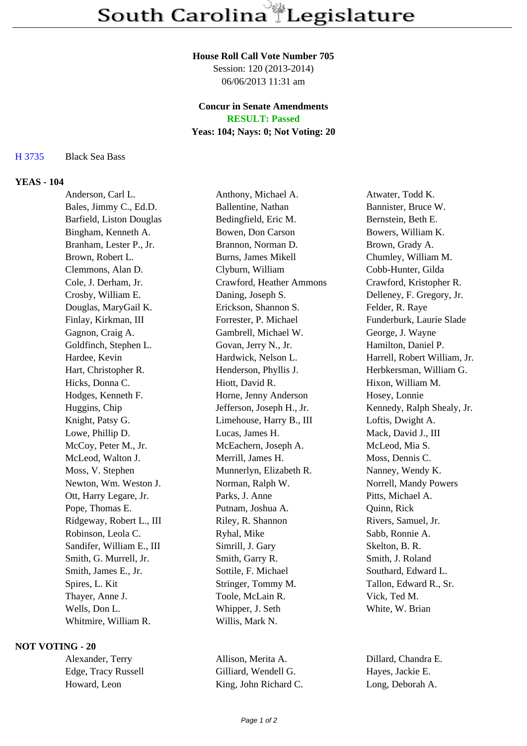#### **House Roll Call Vote Number 705**

Session: 120 (2013-2014) 06/06/2013 11:31 am

# **Concur in Senate Amendments**

**RESULT: Passed**

## **Yeas: 104; Nays: 0; Not Voting: 20**

H 3735 Black Sea Bass

### **YEAS - 104**

Anderson, Carl L. Anthony, Michael A. Atwater, Todd K. Bales, Jimmy C., Ed.D. Ballentine, Nathan Bannister, Bruce W. Barfield, Liston Douglas Bedingfield, Eric M. Bernstein, Beth E. Bingham, Kenneth A. Bowen, Don Carson Bowers, William K. Branham, Lester P., Jr. Brannon, Norman D. Brown, Grady A. Brown, Robert L. Burns, James Mikell Chumley, William M. Clemmons, Alan D. Clyburn, William Cobb-Hunter, Gilda Cole, J. Derham, Jr. Crawford, Heather Ammons Crawford, Kristopher R. Crosby, William E. Daning, Joseph S. Delleney, F. Gregory, Jr. Douglas, MaryGail K. Erickson, Shannon S. Felder, R. Raye Finlay, Kirkman, III Forrester, P. Michael Funderburk, Laurie Slade Gagnon, Craig A. Gambrell, Michael W. George, J. Wayne Goldfinch, Stephen L. Govan, Jerry N., Jr. Hamilton, Daniel P. Hardee, Kevin **Hardwick, Nelson L.** Harrell, Robert William, Jr. Hart, Christopher R. Henderson, Phyllis J. Herbkersman, William G. Hicks, Donna C. Hiott, David R. Hixon, William M. Hodges, Kenneth F. Horne, Jenny Anderson Hosey, Lonnie Huggins, Chip Jefferson, Joseph H., Jr. Kennedy, Ralph Shealy, Jr. Knight, Patsy G. Climehouse, Harry B., III Loftis, Dwight A. Lowe, Phillip D. Lucas, James H. Mack, David J., III McCoy, Peter M., Jr. McEachern, Joseph A. McLeod, Mia S. McLeod, Walton J. Merrill, James H. Moss, Dennis C. Moss, V. Stephen Munnerlyn, Elizabeth R. Nanney, Wendy K. Newton, Wm. Weston J. Norman, Ralph W. Norrell, Mandy Powers Ott, Harry Legare, Jr. Parks, J. Anne Pitts, Michael A. Pope, Thomas E. Putnam, Joshua A. Quinn, Rick Ridgeway, Robert L., III Riley, R. Shannon Rivers, Samuel, Jr. Robinson, Leola C. Ryhal, Mike Sabb, Ronnie A. Sandifer, William E., III Simrill, J. Gary Skelton, B. R. Smith, G. Murrell, Jr. Smith, Garry R. Smith, J. Roland Smith, James E., Jr. Sottile, F. Michael Southard, Edward L. Spires, L. Kit Stringer, Tommy M. Tallon, Edward R., Sr. Thayer, Anne J. Toole, McLain R. Vick, Ted M. Wells, Don L. **Whipper, J. Seth** White, W. Brian Whitmire, William R. Willis, Mark N.

## **NOT VOTING - 20**

Alexander, Terry Allison, Merita A. Dillard, Chandra E. Edge, Tracy Russell Gilliard, Wendell G. Hayes, Jackie E. Howard, Leon King, John Richard C. Long, Deborah A.